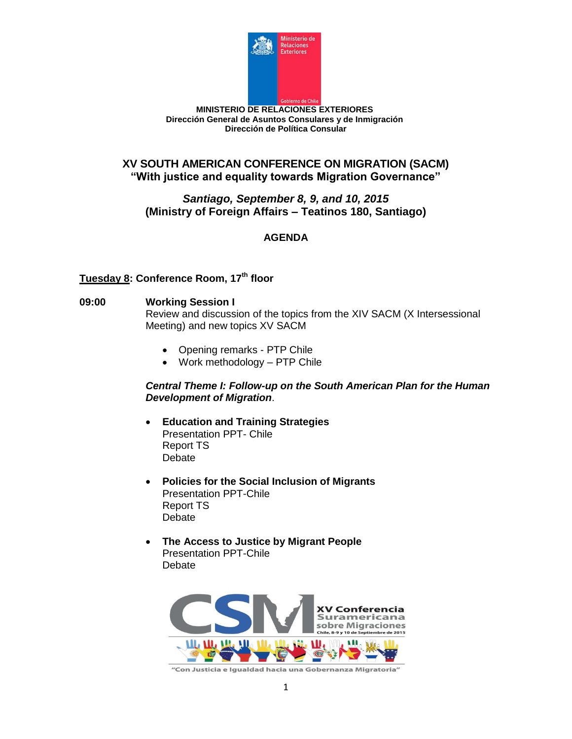

# **XV SOUTH AMERICAN CONFERENCE ON MIGRATION (SACM) "With justice and equality towards Migration Governance"**

### *Santiago, September 8, 9, and 10, 2015* **(Ministry of Foreign Affairs – Teatinos 180, Santiago)**

# **AGENDA**

# **Tuesday 8: Conference Room, 17th floor**

### **09:00 Working Session I**

Review and discussion of the topics from the XIV SACM (X Intersessional Meeting) and new topics XV SACM

- Opening remarks PTP Chile
- Work methodology PTP Chile

### *Central Theme I: Follow-up on the South American Plan for the Human Development of Migration*.

- **Education and Training Strategies** Presentation PPT- Chile Report TS **Debate**
- **Policies for the Social Inclusion of Migrants** Presentation PPT-Chile Report TS Debate
- **The Access to Justice by Migrant People** Presentation PPT-Chile Debate



"Con Justicia e Igualdad hacia una Gobernanza Migratoria"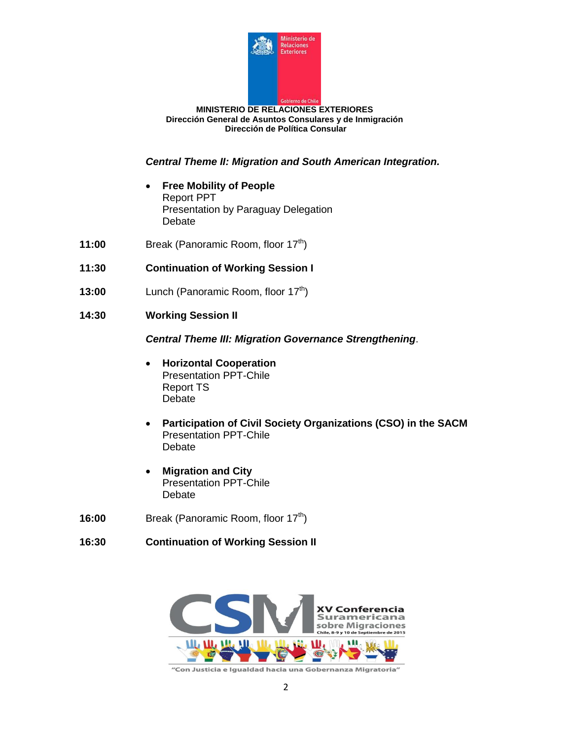

*Central Theme II: Migration and South American Integration.*

- **Free Mobility of People** Report PPT Presentation by Paraguay Delegation Debate
- **11:00** Break (Panoramic Room, floor 17<sup>th</sup>)
- **11:30 Continuation of Working Session I**
- **13:00** Lunch (Panoramic Room, floor 17<sup>th</sup>)
- **14:30 Working Session II**

*Central Theme III: Migration Governance Strengthening*.

- **Horizontal Cooperation** Presentation PPT-Chile Report TS Debate
- **Participation of Civil Society Organizations (CSO) in the SACM** Presentation PPT-Chile Debate
- **Migration and City**  Presentation PPT-Chile Debate
- **16:00** Break (Panoramic Room, floor 17<sup>th</sup>)

# **16:30 Continuation of Working Session II**

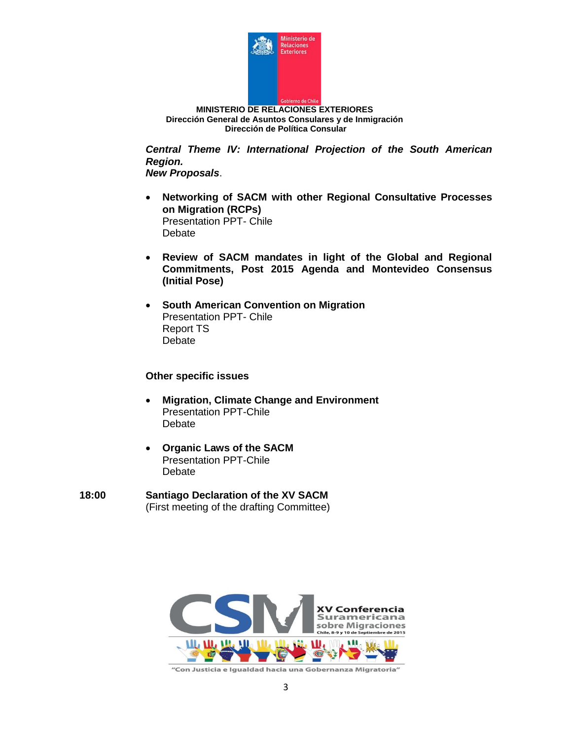

*Central Theme IV: International Projection of the South American Region.*

*New Proposals*.

- **Networking of SACM with other Regional Consultative Processes on Migration (RCPs)** Presentation PPT- Chile Debate
- **Review of SACM mandates in light of the Global and Regional Commitments, Post 2015 Agenda and Montevideo Consensus (Initial Pose)**
- **South American Convention on Migration** Presentation PPT- Chile Report TS Debate

#### **Other specific issues**

- **Migration, Climate Change and Environment** Presentation PPT-Chile **Debate**
- **Organic Laws of the SACM** Presentation PPT-Chile Debate
- **18:00 Santiago Declaration of the XV SACM** (First meeting of the drafting Committee)

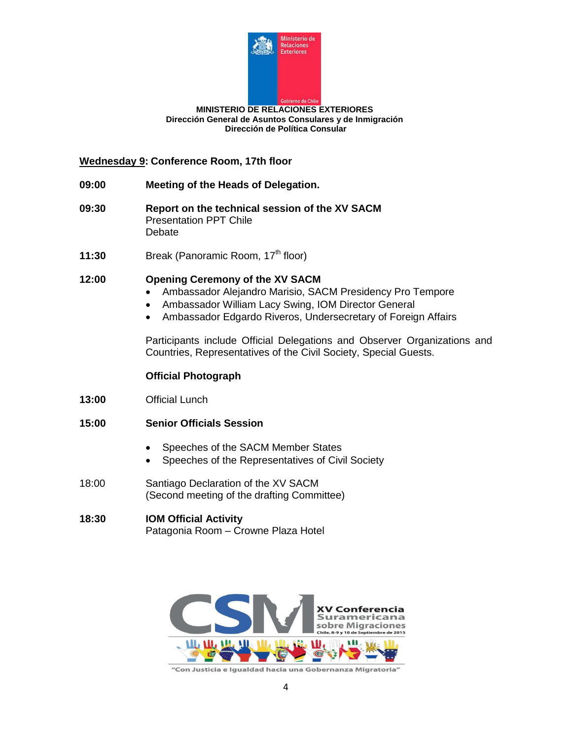

### **Wednesday 9: Conference Room, 17th floor**

- **09:00 Meeting of the Heads of Delegation.**
- **09:30 Report on the technical session of the XV SACM** Presentation PPT Chile Debate
- **11:30** Break (Panoramic Room, 17<sup>th</sup> floor)

### **12:00 Opening Ceremony of the XV SACM**

- Ambassador Alejandro Marisio, SACM Presidency Pro Tempore
- Ambassador William Lacy Swing, IOM Director General
- Ambassador Edgardo Riveros, Undersecretary of Foreign Affairs

Participants include Official Delegations and Observer Organizations and Countries, Representatives of the Civil Society, Special Guests.

#### **Official Photograph**

- **13:00** Official Lunch
- **15:00 Senior Officials Session**
	- Speeches of the SACM Member States
	- Speeches of the Representatives of Civil Society
- 18:00 Santiago Declaration of the XV SACM (Second meeting of the drafting Committee)

### **18:30 IOM Official Activity** Patagonia Room – Crowne Plaza Hotel



"Con Justicia e Igualdad hacia una Gobernanza Migratoria"